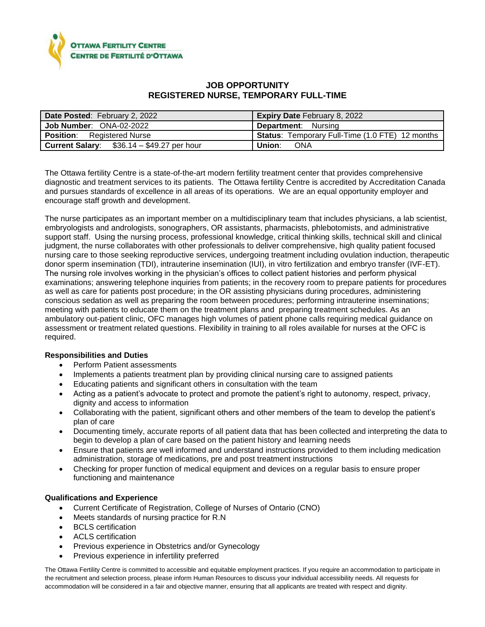

## **JOB OPPORTUNITY REGISTERED NURSE, TEMPORARY FULL-TIME**

| Date Posted: February 2, 2022                     | <b>Expiry Date February 8, 2022</b>             |
|---------------------------------------------------|-------------------------------------------------|
| Job Number: ONA-02-2022                           | <b>Department:</b> Nursing                      |
| <b>Position:</b> Registered Nurse                 | Status: Temporary Full-Time (1.0 FTE) 12 months |
| <b>Current Salary:</b> $$36.14 - $49.27$ per hour | Union:<br><b>ONA</b>                            |

The Ottawa fertility Centre is a state-of-the-art modern fertility treatment center that provides comprehensive diagnostic and treatment services to its patients. The Ottawa fertility Centre is accredited by Accreditation Canada and pursues standards of excellence in all areas of its operations. We are an equal opportunity employer and encourage staff growth and development.

The nurse participates as an important member on a multidisciplinary team that includes physicians, a lab scientist, embryologists and andrologists, sonographers, OR assistants, pharmacists, phlebotomists, and administrative support staff. Using the nursing process, professional knowledge, critical thinking skills, technical skill and clinical judgment, the nurse collaborates with other professionals to deliver comprehensive, high quality patient focused nursing care to those seeking reproductive services, undergoing treatment including ovulation induction, therapeutic donor sperm insemination (TDI), intrauterine insemination (IUI), in vitro fertilization and embryo transfer (IVF-ET). The nursing role involves working in the physician's offices to collect patient histories and perform physical examinations; answering telephone inquiries from patients; in the recovery room to prepare patients for procedures as well as care for patients post procedure; in the OR assisting physicians during procedures, administering conscious sedation as well as preparing the room between procedures; performing intrauterine inseminations; meeting with patients to educate them on the treatment plans and preparing treatment schedules. As an ambulatory out-patient clinic, OFC manages high volumes of patient phone calls requiring medical guidance on assessment or treatment related questions. Flexibility in training to all roles available for nurses at the OFC is required.

## **Responsibilities and Duties**

- Perform Patient assessments
- Implements a patients treatment plan by providing clinical nursing care to assigned patients
- Educating patients and significant others in consultation with the team
- Acting as a patient's advocate to protect and promote the patient's right to autonomy, respect, privacy, dignity and access to information
- Collaborating with the patient, significant others and other members of the team to develop the patient's plan of care
- Documenting timely, accurate reports of all patient data that has been collected and interpreting the data to begin to develop a plan of care based on the patient history and learning needs
- Ensure that patients are well informed and understand instructions provided to them including medication administration, storage of medications, pre and post treatment instructions
- Checking for proper function of medical equipment and devices on a regular basis to ensure proper functioning and maintenance

## **Qualifications and Experience**

- Current Certificate of Registration, College of Nurses of Ontario (CNO)
- Meets standards of nursing practice for R.N
- BCLS certification
- ACLS certification
- Previous experience in Obstetrics and/or Gynecology
- Previous experience in infertility preferred

The Ottawa Fertility Centre is committed to accessible and equitable employment practices. If you require an accommodation to participate in the recruitment and selection process, please inform Human Resources to discuss your individual accessibility needs. All requests for accommodation will be considered in a fair and objective manner, ensuring that all applicants are treated with respect and dignity.